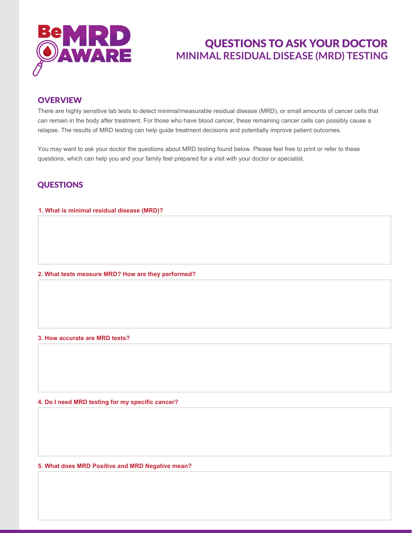

# QUESTIONS TO ASK YOUR DOCTOR **MINIMAL RESIDUAL DISEASE (MRD) TESTING**

### **OVERVIEW**

There are highly sensitive lab tests to detect minimal/measurable residual disease (MRD), or small amounts of cancer cells that can remain in the body after treatment. For those who have blood cancer, these remaining cancer cells can possibly cause a relapse. The results of MRD testing can help guide treatment decisions and potentially improve patient outcomes.

You may want to ask your doctor the questions about MRD testing found below. Please feel free to print or refer to these questions, which can help you and your family feel prepared for a visit with your doctor or specialist.

## **QUESTIONS**

### **1. What is minimal residual disease (MRD)?**

**2. What tests measure MRD? How are they performed?**

#### **3. How accurate are MRD tests?**

**4. Do I need MRD testing for my specific cancer?**

**5. What does MRD Positive and MRD Negative mean?**